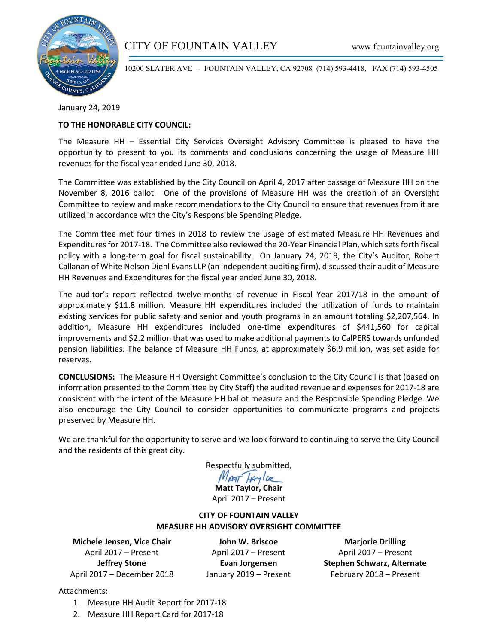

# CITY OF FOUNTAIN VALLEY www.fountainvalley.org

10200 SLATER AVE – FOUNTAIN VALLEY, CA 92708 (714) 593-4418, FAX (714) 593-4505

January 24, 2019

### **TO THE HONORABLE CITY COUNCIL:**

The Measure HH – Essential City Services Oversight Advisory Committee is pleased to have the opportunity to present to you its comments and conclusions concerning the usage of Measure HH revenues for the fiscal year ended June 30, 2018.

The Committee was established by the City Council on April 4, 2017 after passage of Measure HH on the November 8, 2016 ballot. One of the provisions of Measure HH was the creation of an Oversight Committee to review and make recommendations to the City Council to ensure that revenues from it are utilized in accordance with the City's Responsible Spending Pledge.

The Committee met four times in 2018 to review the usage of estimated Measure HH Revenues and Expenditures for 2017-18. The Committee also reviewed the 20-Year Financial Plan, which sets forth fiscal policy with a long-term goal for fiscal sustainability. On January 24, 2019, the City's Auditor, Robert Callanan of White Nelson Diehl Evans LLP (an independent auditing firm), discussed their audit of Measure HH Revenues and Expenditures for the fiscal year ended June 30, 2018.

The auditor's report reflected twelve-months of revenue in Fiscal Year 2017/18 in the amount of approximately \$11.8 million. Measure HH expenditures included the utilization of funds to maintain existing services for public safety and senior and youth programs in an amount totaling \$2,207,564. In addition, Measure HH expenditures included one-time expenditures of \$441,560 for capital improvements and \$2.2 million that was used to make additional payments to CalPERS towards unfunded pension liabilities. The balance of Measure HH Funds, at approximately \$6.9 million, was set aside for reserves.

**CONCLUSIONS:** The Measure HH Oversight Committee's conclusion to the City Council is that (based on information presented to the Committee by City Staff) the audited revenue and expenses for 2017-18 are consistent with the intent of the Measure HH ballot measure and the Responsible Spending Pledge. We also encourage the City Council to consider opportunities to communicate programs and projects preserved by Measure HH.

We are thankful for the opportunity to serve and we look forward to continuing to serve the City Council and the residents of this great city.

Respectfully submitted,<br>May Taylor

**Matt Taylor, Chair** April 2017 – Present

### **CITY OF FOUNTAIN VALLEY MEASURE HH ADVISORY OVERSIGHT COMMITTEE**

**Michele Jensen, Vice Chair** April 2017 – Present **Jeffrey Stone** April 2017 – December 2018

**John W. Briscoe** April 2017 – Present **Evan Jorgensen** January 2019 – Present

**Marjorie Drilling** April 2017 – Present **Stephen Schwarz, Alternate** February 2018 – Present

Attachments:

- 1. Measure HH Audit Report for 2017-18
- 2. Measure HH Report Card for 2017-18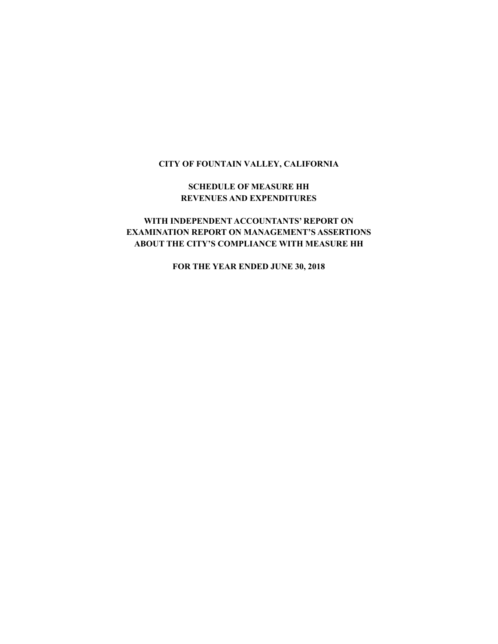### **CITY OF FOUNTAIN VALLEY, CALIFORNIA**

### **SCHEDULE OF MEASURE HH REVENUES AND EXPENDITURES**

# **WITH INDEPENDENT ACCOUNTANTS' REPORT ON EXAMINATION REPORT ON MANAGEMENT'S ASSERTIONS ABOUT THE CITY'S COMPLIANCE WITH MEASURE HH**

**FOR THE YEAR ENDED JUNE 30, 2018**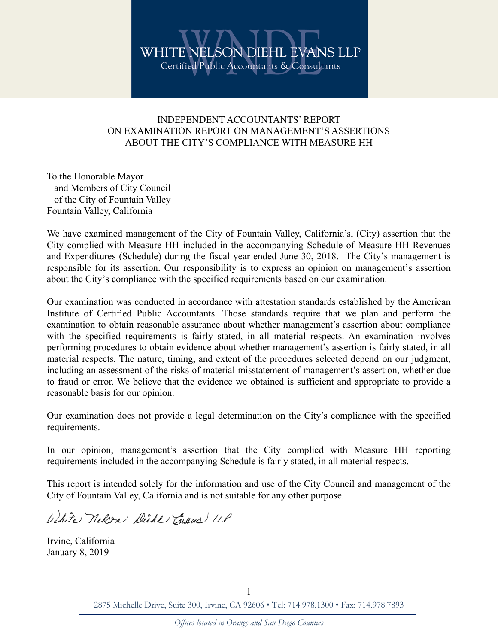## INDEPENDENT ACCOUNTANTS' REPORT ON EXAMINATION REPORT ON MANAGEMENT'S ASSERTIONS ABOUT THE CITY'S COMPLIANCE WITH MEASURE HH

To the Honorable Mayor and Members of City Council of the City of Fountain Valley Fountain Valley, California

We have examined management of the City of Fountain Valley, California's, (City) assertion that the City complied with Measure HH included in the accompanying Schedule of Measure HH Revenues and Expenditures (Schedule) during the fiscal year ended June 30, 2018. The City's management is responsible for its assertion. Our responsibility is to express an opinion on management's assertion about the City's compliance with the specified requirements based on our examination.

Our examination was conducted in accordance with attestation standards established by the American Institute of Certified Public Accountants. Those standards require that we plan and perform the examination to obtain reasonable assurance about whether management's assertion about compliance with the specified requirements is fairly stated, in all material respects. An examination involves performing procedures to obtain evidence about whether management's assertion is fairly stated, in all material respects. The nature, timing, and extent of the procedures selected depend on our judgment, including an assessment of the risks of material misstatement of management's assertion, whether due to fraud or error. We believe that the evidence we obtained is sufficient and appropriate to provide a reasonable basis for our opinion.

Our examination does not provide a legal determination on the City's compliance with the specified requirements.

In our opinion, management's assertion that the City complied with Measure HH reporting requirements included in the accompanying Schedule is fairly stated, in all material respects.

This report is intended solely for the information and use of the City Council and management of the City of Fountain Valley, California and is not suitable for any other purpose.

White Nelson Diebl Chans LLP

Irvine, California January 8, 2019

> 2875 Michelle Drive, Suite 300, Irvine, CA 92606 • Tel: 714.978.1300 • Fax: 714.978.7893 1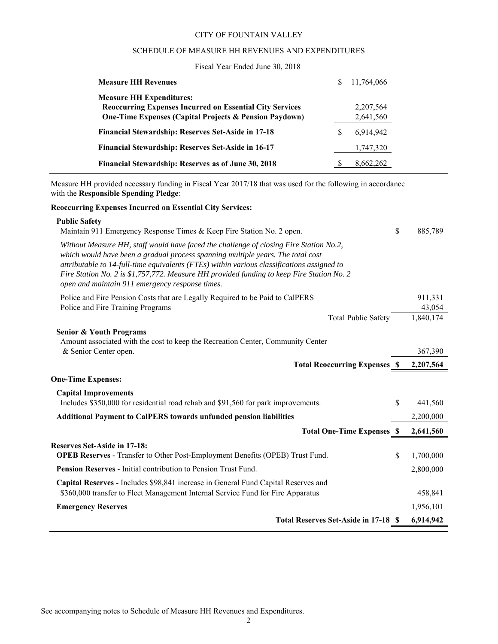#### CITY OF FOUNTAIN VALLEY

#### SCHEDULE OF MEASURE HH REVENUES AND EXPENDITURES

### Fiscal Year Ended June 30, 2018

| <b>Measure HH Revenues</b>                                        | S | 11,764,066 |
|-------------------------------------------------------------------|---|------------|
| <b>Measure HH Expenditures:</b>                                   |   |            |
| <b>Reoccurring Expenses Incurred on Essential City Services</b>   |   | 2,207,564  |
| <b>One-Time Expenses (Capital Projects &amp; Pension Paydown)</b> |   | 2,641,560  |
| <b>Financial Stewardship: Reserves Set-Aside in 17-18</b>         | S | 6,914,942  |
| <b>Financial Stewardship: Reserves Set-Aside in 16-17</b>         |   | 1,747,320  |
| Financial Stewardship: Reserves as of June 30, 2018               |   | 8,662,262  |

Measure HH provided necessary funding in Fiscal Year 2017/18 that was used for the following in accordance with the **Responsible Spending Pledge**:

#### **Reoccurring Expenses Incurred on Essential City Services:**

| <b>Public Safety</b><br>Maintain 911 Emergency Response Times & Keep Fire Station No. 2 open.                                                                                                                                                                                                                                                                                                                           | \$ | 885,789           |
|-------------------------------------------------------------------------------------------------------------------------------------------------------------------------------------------------------------------------------------------------------------------------------------------------------------------------------------------------------------------------------------------------------------------------|----|-------------------|
| Without Measure HH, staff would have faced the challenge of closing Fire Station No.2,<br>which would have been a gradual process spanning multiple years. The total cost<br>attributable to 14-full-time equivalents (FTEs) within various classifications assigned to<br>Fire Station No. 2 is \$1,757,772. Measure HH provided funding to keep Fire Station No. 2<br>open and maintain 911 emergency response times. |    |                   |
| Police and Fire Pension Costs that are Legally Required to be Paid to CalPERS<br>Police and Fire Training Programs                                                                                                                                                                                                                                                                                                      |    | 911,331<br>43,054 |
| <b>Total Public Safety</b>                                                                                                                                                                                                                                                                                                                                                                                              |    | 1,840,174         |
| <b>Senior &amp; Youth Programs</b><br>Amount associated with the cost to keep the Recreation Center, Community Center<br>& Senior Center open.                                                                                                                                                                                                                                                                          |    | 367,390           |
| <b>Total Reoccurring Expenses \$</b>                                                                                                                                                                                                                                                                                                                                                                                    |    | 2,207,564         |
| <b>One-Time Expenses:</b>                                                                                                                                                                                                                                                                                                                                                                                               |    |                   |
| <b>Capital Improvements</b><br>Includes \$350,000 for residential road rehab and \$91,560 for park improvements.                                                                                                                                                                                                                                                                                                        | S  | 441,560           |
| <b>Additional Payment to CalPERS towards unfunded pension liabilities</b>                                                                                                                                                                                                                                                                                                                                               |    | 2,200,000         |
| <b>Total One-Time Expenses \$</b>                                                                                                                                                                                                                                                                                                                                                                                       |    | 2,641,560         |
| <b>Reserves Set-Aside in 17-18:</b>                                                                                                                                                                                                                                                                                                                                                                                     |    |                   |
| OPEB Reserves - Transfer to Other Post-Employment Benefits (OPEB) Trust Fund.                                                                                                                                                                                                                                                                                                                                           | \$ | 1,700,000         |
| Pension Reserves - Initial contribution to Pension Trust Fund.                                                                                                                                                                                                                                                                                                                                                          |    | 2,800,000         |
| Capital Reserves - Includes \$98,841 increase in General Fund Capital Reserves and<br>\$360,000 transfer to Fleet Management Internal Service Fund for Fire Apparatus                                                                                                                                                                                                                                                   |    | 458,841           |
| <b>Emergency Reserves</b>                                                                                                                                                                                                                                                                                                                                                                                               |    | 1,956,101         |
| Total Reserves Set-Aside in 17-18 \$                                                                                                                                                                                                                                                                                                                                                                                    |    | 6,914,942         |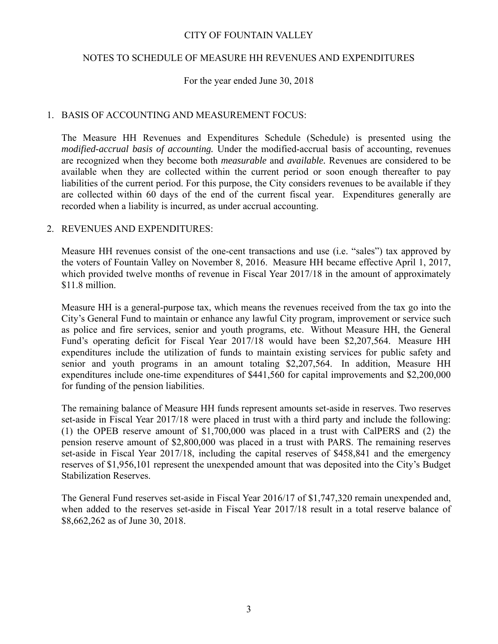### CITY OF FOUNTAIN VALLEY

### NOTES TO SCHEDULE OF MEASURE HH REVENUES AND EXPENDITURES

### For the year ended June 30, 2018

### 1. BASIS OF ACCOUNTING AND MEASUREMENT FOCUS:

The Measure HH Revenues and Expenditures Schedule (Schedule) is presented using the *modified-accrual basis of accounting.* Under the modified-accrual basis of accounting, revenues are recognized when they become both *measurable* and *available.* Revenues are considered to be available when they are collected within the current period or soon enough thereafter to pay liabilities of the current period. For this purpose, the City considers revenues to be available if they are collected within 60 days of the end of the current fiscal year. Expenditures generally are recorded when a liability is incurred, as under accrual accounting.

### 2. REVENUES AND EXPENDITURES:

Measure HH revenues consist of the one-cent transactions and use (i.e. "sales") tax approved by the voters of Fountain Valley on November 8, 2016. Measure HH became effective April 1, 2017, which provided twelve months of revenue in Fiscal Year 2017/18 in the amount of approximately \$11.8 million.

Measure HH is a general-purpose tax, which means the revenues received from the tax go into the City's General Fund to maintain or enhance any lawful City program, improvement or service such as police and fire services, senior and youth programs, etc. Without Measure HH, the General Fund's operating deficit for Fiscal Year 2017/18 would have been \$2,207,564. Measure HH expenditures include the utilization of funds to maintain existing services for public safety and senior and youth programs in an amount totaling \$2,207,564. In addition, Measure HH expenditures include one-time expenditures of \$441,560 for capital improvements and \$2,200,000 for funding of the pension liabilities.

The remaining balance of Measure HH funds represent amounts set-aside in reserves. Two reserves set-aside in Fiscal Year 2017/18 were placed in trust with a third party and include the following: (1) the OPEB reserve amount of \$1,700,000 was placed in a trust with CalPERS and (2) the pension reserve amount of \$2,800,000 was placed in a trust with PARS. The remaining reserves set-aside in Fiscal Year 2017/18, including the capital reserves of \$458,841 and the emergency reserves of \$1,956,101 represent the unexpended amount that was deposited into the City's Budget Stabilization Reserves.

The General Fund reserves set-aside in Fiscal Year 2016/17 of \$1,747,320 remain unexpended and, when added to the reserves set-aside in Fiscal Year 2017/18 result in a total reserve balance of \$8,662,262 as of June 30, 2018.